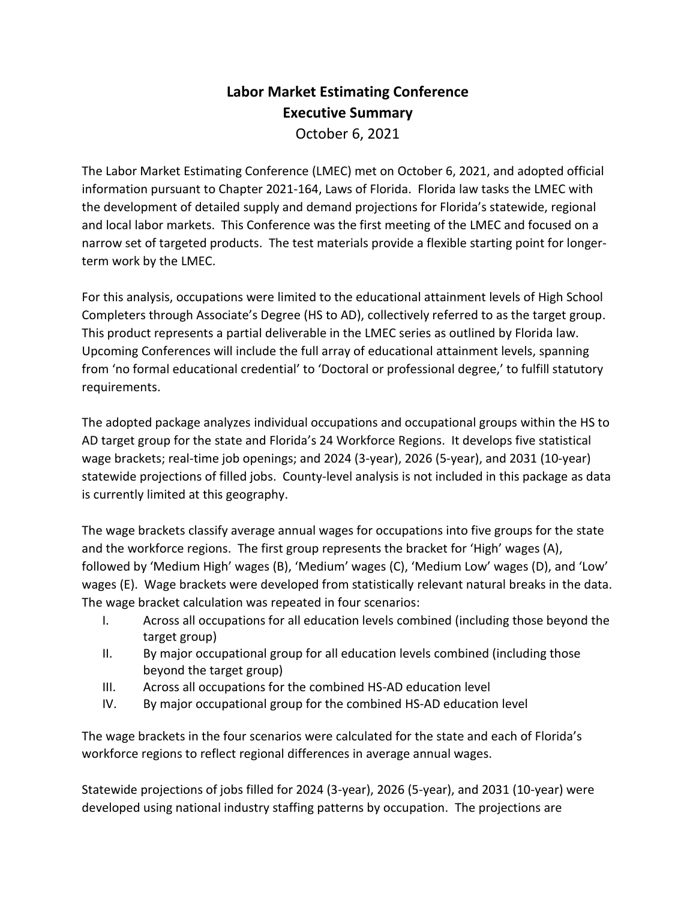## **Labor Market Estimating Conference Executive Summary** October 6, 2021

The Labor Market Estimating Conference (LMEC) met on October 6, 2021, and adopted official information pursuant to Chapter 2021-164, Laws of Florida. Florida law tasks the LMEC with the development of detailed supply and demand projections for Florida's statewide, regional and local labor markets. This Conference was the first meeting of the LMEC and focused on a narrow set of targeted products. The test materials provide a flexible starting point for longerterm work by the LMEC.

For this analysis, occupations were limited to the educational attainment levels of High School Completers through Associate's Degree (HS to AD), collectively referred to as the target group. This product represents a partial deliverable in the LMEC series as outlined by Florida law. Upcoming Conferences will include the full array of educational attainment levels, spanning from 'no formal educational credential' to 'Doctoral or professional degree,' to fulfill statutory requirements.

The adopted package analyzes individual occupations and occupational groups within the HS to AD target group for the state and Florida's 24 Workforce Regions. It develops five statistical wage brackets; real-time job openings; and 2024 (3-year), 2026 (5-year), and 2031 (10-year) statewide projections of filled jobs. County-level analysis is not included in this package as data is currently limited at this geography.

The wage brackets classify average annual wages for occupations into five groups for the state and the workforce regions. The first group represents the bracket for 'High' wages (A), followed by 'Medium High' wages (B), 'Medium' wages (C), 'Medium Low' wages (D), and 'Low' wages (E). Wage brackets were developed from statistically relevant natural breaks in the data. The wage bracket calculation was repeated in four scenarios:

- I. Across all occupations for all education levels combined (including those beyond the target group)
- II. By major occupational group for all education levels combined (including those beyond the target group)
- III. Across all occupations for the combined HS-AD education level
- IV. By major occupational group for the combined HS-AD education level

The wage brackets in the four scenarios were calculated for the state and each of Florida's workforce regions to reflect regional differences in average annual wages.

Statewide projections of jobs filled for 2024 (3-year), 2026 (5-year), and 2031 (10-year) were developed using national industry staffing patterns by occupation. The projections are